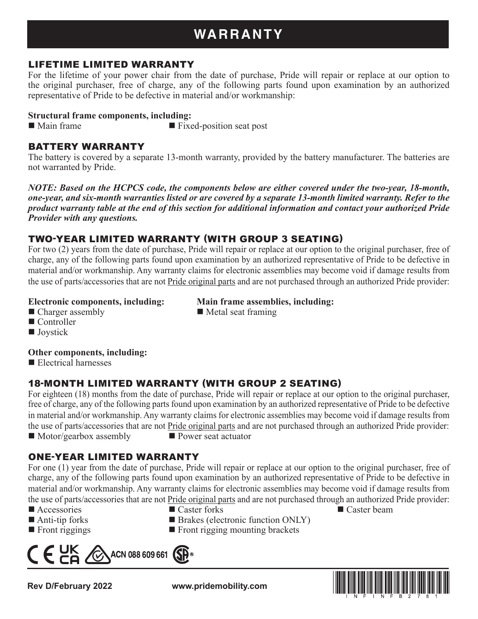# **WARRANTY**

#### LIFETIME LIMITED WARRANTY

For the lifetime of your power chair from the date of purchase, Pride will repair or replace at our option to the original purchaser, free of charge, any of the following parts found upon examination by an authorized representative of Pride to be defective in material and/or workmanship:

#### **Structural frame components, including:**

■ Main frame ■ Fixed-position seat post

#### BATTERY WARRANTY

The battery is covered by a separate 13-month warranty, provided by the battery manufacturer. The batteries are not warranted by Pride.

*NOTE: Based on the HCPCS code, the components below are either covered under the two-year, 18-month, one-year, and six-month warranties listed or are covered by a separate 13-month limited warranty. Refer to the product warranty table at the end of this section for additional information and contact your authorized Pride Provider with any questions.*

### TWO-YEAR LIMITED WARRANTY (WITH GROUP 3 SEATING)

For two (2) years from the date of purchase, Pride will repair or replace at our option to the original purchaser, free of charge, any of the following parts found upon examination by an authorized representative of Pride to be defective in material and/or workmanship. Any warranty claims for electronic assemblies may become void if damage results from the use of parts/accessories that are not Pride original parts and are not purchased through an authorized Pride provider:

#### **Electronic components, including: Main frame assemblies, including:**

- $\blacksquare$  Charger assembly  $\blacksquare$  Metal seat framing
- Controller
- **Joystick**

#### **Other components, including:**

Electrical harnesses

## 18-MONTH LIMITED WARRANTY (WITH GROUP 2 SEATING)

For eighteen (18) months from the date of purchase, Pride will repair or replace at our option to the original purchaser, free of charge, any of the following parts found upon examination by an authorized representative of Pride to be defective in material and/or workmanship. Any warranty claims for electronic assemblies may become void if damage results from the use of parts/accessories that are not Pride original parts and are not purchased through an authorized Pride provider:  $\blacksquare$  Motor/gearbox assembly  $\blacksquare$  Power seat actuator

### ONE-YEAR LIMITED WARRANTY

For one (1) year from the date of purchase, Pride will repair or replace at our option to the original purchaser, free of charge, any of the following parts found upon examination by an authorized representative of Pride to be defective in material and/or workmanship. Any warranty claims for electronic assemblies may become void if damage results from the use of parts/accessories that are not Pride original parts and are not purchased through an authorized Pride provider:

- Accessories Caster forks Caster beam Caster beam Caster beam Caster beam Caster beam Caster beam Caster beam Caster beam Caster beam Caster beam Caster beam Caster beam Caster beam Caster b
- 
- $\blacksquare$  Front riggings  $\blacksquare$  Front rigging mounting brackets
- $\epsilon_{\text{ca}}$ ACN 088 609 661  $(SP)$

**Rev D/February 2022 www.pridemobility.com**

- Anti-tip forks Brakes (electronic function ONLY)
	-

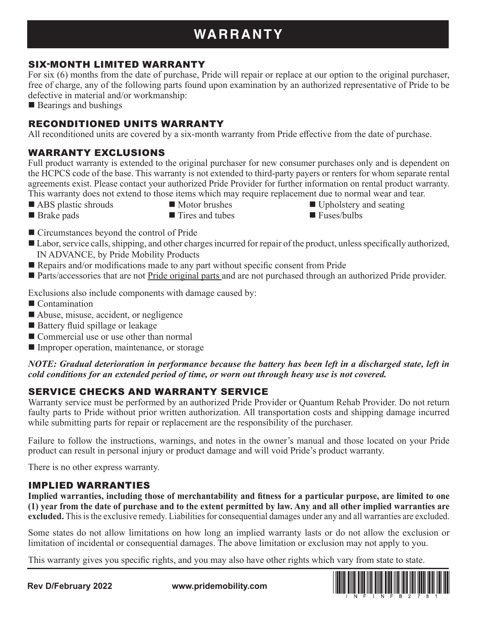# **WARRANTY**

### SIX-MONTH LIMITED WARRANTY

For six (6) months from the date of purchase, Pride will repair or replace at our option to the original purchaser, free of charge, any of the following parts found upon examination by an authorized representative of Pride to be defective in material and/or workmanship:

■ Bearings and bushings

## RECONDITIONED UNITS WARRANTY

All reconditioned units are covered by a six-month warranty from Pride effective from the date of purchase.

## WARRANTY EXCLUSIONS

Full product warranty is extended to the original purchaser for new consumer purchases only and is dependent on the HCPCS code of the base. This warranty is not extended to third-party payers or renters for whom separate rental agreements exist. Please contact your authorized Pride Provider for further information on rental product warranty. This warranty does not extend to those items which may require replacement due to normal wear and tear.

- ABS plastic shrouds Motor brushes I Upholstery and seating
	-
- 
- 
- Brake pads Tires and tubes Fuses/bulbs
- Circumstances beyond the control of Pride
- Labor, service calls, shipping, and other charges incurred for repair of the product, unless specifically authorized, IN ADVANCE, by Pride Mobility Products
- Repairs and/or modifications made to any part without specific consent from Pride
- Parts/accessories that are not Pride original parts and are not purchased through an authorized Pride provider.

Exclusions also include components with damage caused by:

- Contamination
- Abuse, misuse, accident, or negligence
- Battery fluid spillage or leakage
- Commercial use or use other than normal
- **Improper operation, maintenance, or storage**

*NOTE: Gradual deterioration in performance because the battery has been left in a discharged state, left in cold conditions for an extended period of time, or worn out through heavy use is not covered.*

# SERVICE CHECKS AND WARRANTY SERVICE

Warranty service must be performed by an authorized Pride Provider or Quantum Rehab Provider. Do not return faulty parts to Pride without prior written authorization. All transportation costs and shipping damage incurred while submitting parts for repair or replacement are the responsibility of the purchaser.

Failure to follow the instructions, warnings, and notes in the owner's manual and those located on your Pride product can result in personal injury or product damage and will void Pride's product warranty.

There is no other express warranty.

### IMPLIED WARRANTIES

**Implied warranties, including those of merchantability and fitness for a particular purpose, are limited to one (1) year from the date of purchase and to the extent permitted by law. Any and all other implied warranties are excluded.** This is the exclusive remedy. Liabilities for consequential damages under any and all warranties are excluded.

Some states do not allow limitations on how long an implied warranty lasts or do not allow the exclusion or limitation of incidental or consequential damages. The above limitation or exclusion may not apply to you.

This warranty gives you specific rights, and you may also have other rights which vary from state to state.